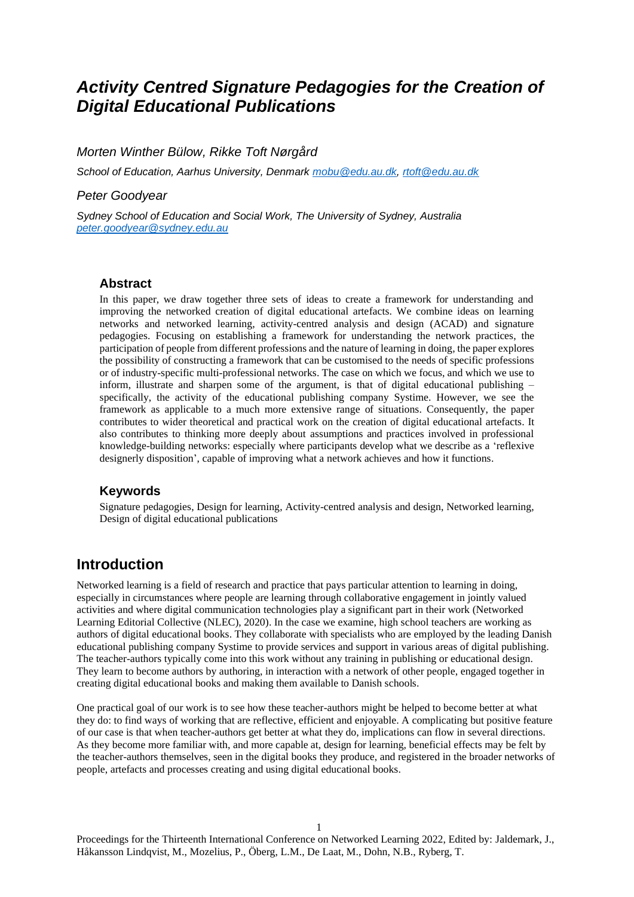# *Activity Centred Signature Pedagogies for the Creation of Digital Educational Publications*

*Morten Winther Bülow, Rikke Toft Nørgård*

*School of Education, Aarhus University, Denmark [mobu@edu.au.dk,](mailto:mobu@edu.au.dk) [rtoft@edu.au.dk](mailto:rtoft@edu.au.dk)*

### *Peter Goodyear*

*Sydney School of Education and Social Work, The University of Sydney, Australia [peter.goodyear@sydney.edu.au](mailto:peter.goodyear@sydney.edu.au)*

#### **Abstract**

In this paper, we draw together three sets of ideas to create a framework for understanding and improving the networked creation of digital educational artefacts. We combine ideas on learning networks and networked learning, activity-centred analysis and design (ACAD) and signature pedagogies. Focusing on establishing a framework for understanding the network practices, the participation of people from different professions and the nature of learning in doing, the paper explores the possibility of constructing a framework that can be customised to the needs of specific professions or of industry-specific multi-professional networks. The case on which we focus, and which we use to inform, illustrate and sharpen some of the argument, is that of digital educational publishing – specifically, the activity of the educational publishing company Systime. However, we see the framework as applicable to a much more extensive range of situations. Consequently, the paper contributes to wider theoretical and practical work on the creation of digital educational artefacts. It also contributes to thinking more deeply about assumptions and practices involved in professional knowledge-building networks: especially where participants develop what we describe as a 'reflexive designerly disposition', capable of improving what a network achieves and how it functions.

### **Keywords**

Signature pedagogies, Design for learning, Activity-centred analysis and design, Networked learning, Design of digital educational publications

## **Introduction**

Networked learning is a field of research and practice that pays particular attention to learning in doing, especially in circumstances where people are learning through collaborative engagement in jointly valued activities and where digital communication technologies play a significant part in their work (Networked Learning Editorial Collective (NLEC), 2020). In the case we examine, high school teachers are working as authors of digital educational books. They collaborate with specialists who are employed by the leading Danish educational publishing company Systime to provide services and support in various areas of digital publishing. The teacher-authors typically come into this work without any training in publishing or educational design. They learn to become authors by authoring, in interaction with a network of other people, engaged together in creating digital educational books and making them available to Danish schools.

One practical goal of our work is to see how these teacher-authors might be helped to become better at what they do: to find ways of working that are reflective, efficient and enjoyable. A complicating but positive feature of our case is that when teacher-authors get better at what they do, implications can flow in several directions. As they become more familiar with, and more capable at, design for learning, beneficial effects may be felt by the teacher-authors themselves, seen in the digital books they produce, and registered in the broader networks of people, artefacts and processes creating and using digital educational books.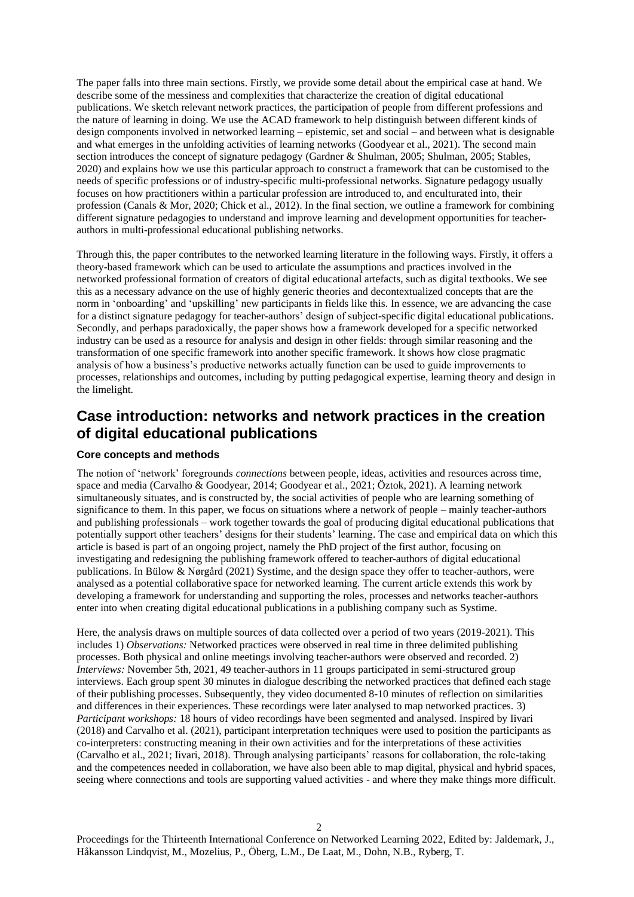The paper falls into three main sections. Firstly, we provide some detail about the empirical case at hand. We describe some of the messiness and complexities that characterize the creation of digital educational publications. We sketch relevant network practices, the participation of people from different professions and the nature of learning in doing. We use the ACAD framework to help distinguish between different kinds of design components involved in networked learning – epistemic, set and social – and between what is designable and what emerges in the unfolding activities of learning networks (Goodyear et al., 2021). The second main section introduces the concept of signature pedagogy (Gardner & Shulman, 2005; Shulman, 2005; Stables, 2020) and explains how we use this particular approach to construct a framework that can be customised to the needs of specific professions or of industry-specific multi-professional networks. Signature pedagogy usually focuses on how practitioners within a particular profession are introduced to, and enculturated into, their profession (Canals & Mor, 2020; Chick et al., 2012). In the final section, we outline a framework for combining different signature pedagogies to understand and improve learning and development opportunities for teacherauthors in multi-professional educational publishing networks.

Through this, the paper contributes to the networked learning literature in the following ways. Firstly, it offers a theory-based framework which can be used to articulate the assumptions and practices involved in the networked professional formation of creators of digital educational artefacts, such as digital textbooks. We see this as a necessary advance on the use of highly generic theories and decontextualized concepts that are the norm in 'onboarding' and 'upskilling' new participants in fields like this. In essence, we are advancing the case for a distinct signature pedagogy for teacher-authors' design of subject-specific digital educational publications. Secondly, and perhaps paradoxically, the paper shows how a framework developed for a specific networked industry can be used as a resource for analysis and design in other fields: through similar reasoning and the transformation of one specific framework into another specific framework. It shows how close pragmatic analysis of how a business's productive networks actually function can be used to guide improvements to processes, relationships and outcomes, including by putting pedagogical expertise, learning theory and design in the limelight.

# **Case introduction: networks and network practices in the creation of digital educational publications**

#### **Core concepts and methods**

The notion of 'network' foregrounds *connections* between people, ideas, activities and resources across time, space and media (Carvalho & Goodyear, 2014; Goodyear et al., 2021; Öztok, 2021). A learning network simultaneously situates, and is constructed by, the social activities of people who are learning something of significance to them. In this paper, we focus on situations where a network of people – mainly teacher-authors and publishing professionals – work together towards the goal of producing digital educational publications that potentially support other teachers' designs for their students' learning. The case and empirical data on which this article is based is part of an ongoing project, namely the PhD project of the first author, focusing on investigating and redesigning the publishing framework offered to teacher-authors of digital educational publications. In Bülow & Nørgård (2021) Systime, and the design space they offer to teacher-authors, were analysed as a potential collaborative space for networked learning. The current article extends this work by developing a framework for understanding and supporting the roles, processes and networks teacher-authors enter into when creating digital educational publications in a publishing company such as Systime.

Here, the analysis draws on multiple sources of data collected over a period of two years (2019-2021). This includes 1) *Observations:* Networked practices were observed in real time in three delimited publishing processes. Both physical and online meetings involving teacher-authors were observed and recorded. 2) *Interviews:* November 5th, 2021, 49 teacher-authors in 11 groups participated in semi-structured group interviews. Each group spent 30 minutes in dialogue describing the networked practices that defined each stage of their publishing processes. Subsequently, they video documented 8-10 minutes of reflection on similarities and differences in their experiences. These recordings were later analysed to map networked practices. 3) *Participant workshops:* 18 hours of video recordings have been segmented and analysed. Inspired by Iivari (2018) and Carvalho et al. (2021), participant interpretation techniques were used to position the participants as co-interpreters: constructing meaning in their own activities and for the interpretations of these activities (Carvalho et al., 2021; Iivari, 2018). Through analysing participants' reasons for collaboration, the role-taking and the competences needed in collaboration, we have also been able to map digital, physical and hybrid spaces, seeing where connections and tools are supporting valued activities - and where they make things more difficult.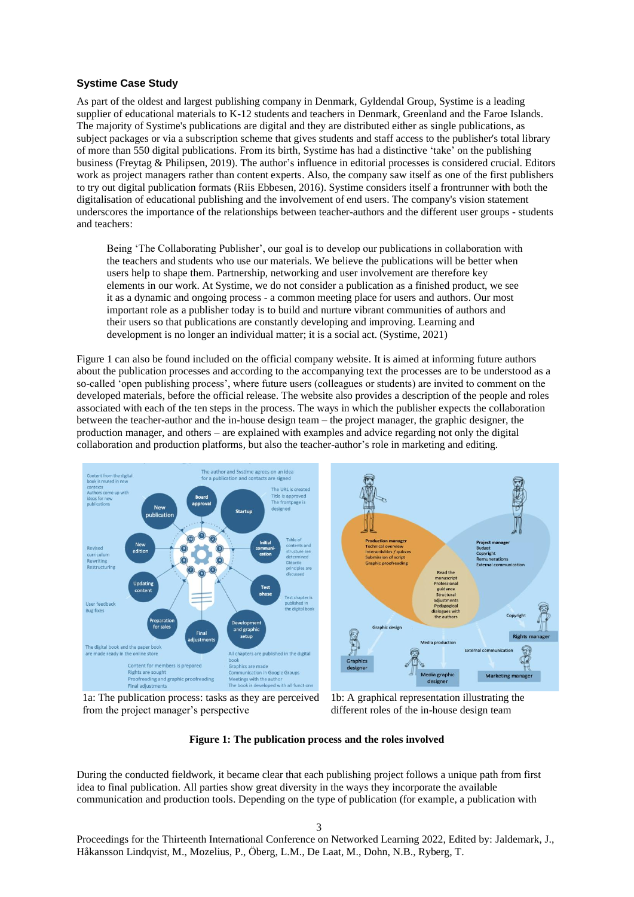### **Systime Case Study**

As part of the oldest and largest publishing company in Denmark, Gyldendal Group, Systime is a leading supplier of educational materials to K-12 students and teachers in Denmark, Greenland and the Faroe Islands. The majority of Systime's publications are digital and they are distributed either as single publications, as subject packages or via a subscription scheme that gives students and staff access to the publisher's total library of more than 550 digital publications. From its birth, Systime has had a distinctive 'take' on the publishing business (Freytag & Philipsen, 2019). The author's influence in editorial processes is considered crucial. Editors work as project managers rather than content experts. Also, the company saw itself as one of the first publishers to try out digital publication formats (Riis Ebbesen, 2016). Systime considers itself a frontrunner with both the digitalisation of educational publishing and the involvement of end users. The company's vision statement underscores the importance of the relationships between teacher-authors and the different user groups - students and teachers:

Being 'The Collaborating Publisher', our goal is to develop our publications in collaboration with the teachers and students who use our materials. We believe the publications will be better when users help to shape them. Partnership, networking and user involvement are therefore key elements in our work. At Systime, we do not consider a publication as a finished product, we see it as a dynamic and ongoing process - a common meeting place for users and authors. Our most important role as a publisher today is to build and nurture vibrant communities of authors and their users so that publications are constantly developing and improving. Learning and development is no longer an individual matter; it is a social act. (Systime, 2021)

Figure 1 can also be found included on the official company website. It is aimed at informing future authors about the publication processes and according to the accompanying text the processes are to be understood as a so-called 'open publishing process', where future users (colleagues or students) are invited to comment on the developed materials, before the official release. The website also provides a description of the people and roles associated with each of the ten steps in the process. The ways in which the publisher expects the collaboration between the teacher-author and the in-house design team – the project manager, the graphic designer, the production manager, and others – are explained with examples and advice regarding not only the digital collaboration and production platforms, but also the teacher-author's role in marketing and editing.





1a: The publication process: tasks as they are perceived from the project manager's perspective

1b: A graphical representation illustrating the different roles of the in-house design team

**Figure 1: The publication process and the roles involved**

During the conducted fieldwork, it became clear that each publishing project follows a unique path from first idea to final publication. All parties show great diversity in the ways they incorporate the available communication and production tools. Depending on the type of publication (for example, a publication with

3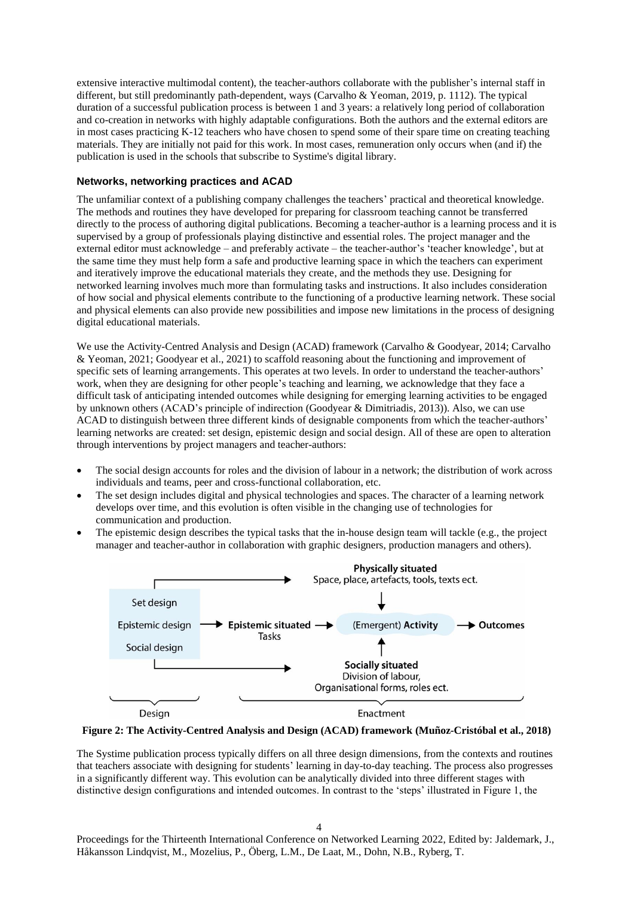extensive interactive multimodal content), the teacher-authors collaborate with the publisher's internal staff in different, but still predominantly path-dependent, ways (Carvalho & Yeoman, 2019, p. 1112). The typical duration of a successful publication process is between 1 and 3 years: a relatively long period of collaboration and co-creation in networks with highly adaptable configurations. Both the authors and the external editors are in most cases practicing K-12 teachers who have chosen to spend some of their spare time on creating teaching materials. They are initially not paid for this work. In most cases, remuneration only occurs when (and if) the publication is used in the schools that subscribe to Systime's digital library.

#### **Networks, networking practices and ACAD**

The unfamiliar context of a publishing company challenges the teachers' practical and theoretical knowledge. The methods and routines they have developed for preparing for classroom teaching cannot be transferred directly to the process of authoring digital publications. Becoming a teacher-author is a learning process and it is supervised by a group of professionals playing distinctive and essential roles. The project manager and the external editor must acknowledge – and preferably activate – the teacher-author's 'teacher knowledge', but at the same time they must help form a safe and productive learning space in which the teachers can experiment and iteratively improve the educational materials they create, and the methods they use. Designing for networked learning involves much more than formulating tasks and instructions. It also includes consideration of how social and physical elements contribute to the functioning of a productive learning network. These social and physical elements can also provide new possibilities and impose new limitations in the process of designing digital educational materials.

We use the Activity-Centred Analysis and Design (ACAD) framework (Carvalho & Goodyear, 2014; Carvalho & Yeoman, 2021; Goodyear et al., 2021) to scaffold reasoning about the functioning and improvement of specific sets of learning arrangements. This operates at two levels. In order to understand the teacher-authors' work, when they are designing for other people's teaching and learning, we acknowledge that they face a difficult task of anticipating intended outcomes while designing for emerging learning activities to be engaged by unknown others (ACAD's principle of indirection (Goodyear & Dimitriadis, 2013)). Also, we can use ACAD to distinguish between three different kinds of designable components from which the teacher-authors' learning networks are created: set design, epistemic design and social design. All of these are open to alteration through interventions by project managers and teacher-authors:

- The social design accounts for roles and the division of labour in a network; the distribution of work across individuals and teams, peer and cross-functional collaboration, etc.
- The set design includes digital and physical technologies and spaces. The character of a learning network develops over time, and this evolution is often visible in the changing use of technologies for communication and production.
- The epistemic design describes the typical tasks that the in-house design team will tackle (e.g., the project manager and teacher-author in collaboration with graphic designers, production managers and others).



**Figure 2: The Activity-Centred Analysis and Design (ACAD) framework (Muñoz-Cristóbal et al., 2018)**

The Systime publication process typically differs on all three design dimensions, from the contexts and routines that teachers associate with designing for students' learning in day-to-day teaching. The process also progresses in a significantly different way. This evolution can be analytically divided into three different stages with distinctive design configurations and intended outcomes. In contrast to the 'steps' illustrated in Figure 1, the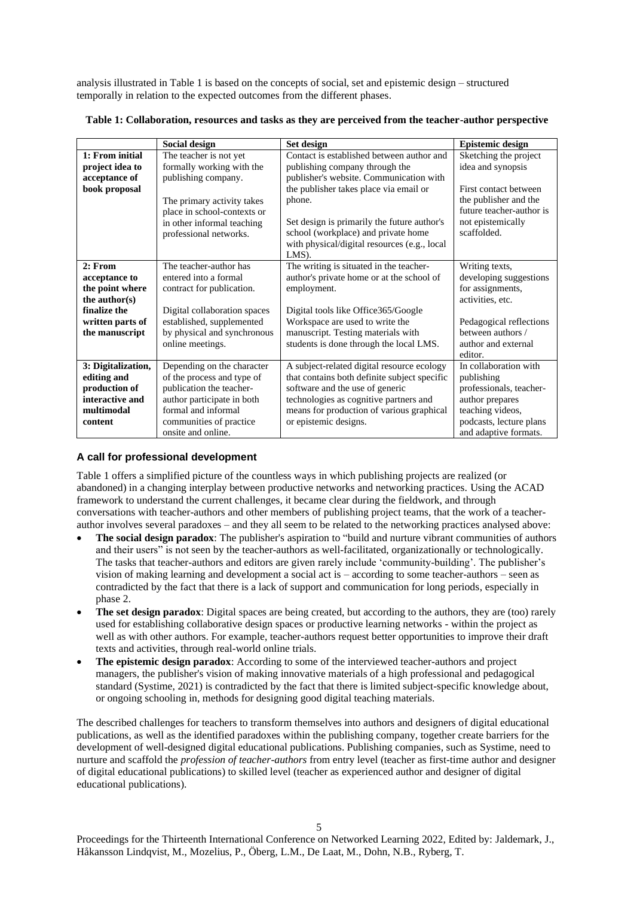analysis illustrated in Table 1 is based on the concepts of social, set and epistemic design – structured temporally in relation to the expected outcomes from the different phases.

|  | Table 1: Collaboration, resources and tasks as they are perceived from the teacher-author perspective |  |  |  |
|--|-------------------------------------------------------------------------------------------------------|--|--|--|
|  |                                                                                                       |  |  |  |

|                                                                                                                    | Social design                                                                                                                                                                                   | Set design                                                                                                                                                                                                                                                                                                                   | <b>Epistemic design</b>                                                                                                                                            |
|--------------------------------------------------------------------------------------------------------------------|-------------------------------------------------------------------------------------------------------------------------------------------------------------------------------------------------|------------------------------------------------------------------------------------------------------------------------------------------------------------------------------------------------------------------------------------------------------------------------------------------------------------------------------|--------------------------------------------------------------------------------------------------------------------------------------------------------------------|
| 1: From initial<br>project idea to<br>acceptance of<br>book proposal                                               | The teacher is not yet<br>formally working with the<br>publishing company.<br>The primary activity takes<br>place in school-contexts or<br>in other informal teaching<br>professional networks. | Contact is established between author and<br>publishing company through the<br>publisher's website. Communication with<br>the publisher takes place via email or<br>phone.<br>Set design is primarily the future author's<br>school (workplace) and private home<br>with physical/digital resources (e.g., local<br>$LMS$ ). | Sketching the project<br>idea and synopsis<br>First contact between<br>the publisher and the<br>future teacher-author is<br>not epistemically<br>scaffolded.       |
| 2: From<br>acceptance to<br>the point where<br>the author(s)<br>finalize the<br>written parts of<br>the manuscript | The teacher-author has<br>entered into a formal<br>contract for publication.<br>Digital collaboration spaces<br>established, supplemented<br>by physical and synchronous<br>online meetings.    | The writing is situated in the teacher-<br>author's private home or at the school of<br>employment.<br>Digital tools like Office365/Google<br>Workspace are used to write the<br>manuscript. Testing materials with<br>students is done through the local LMS.                                                               | Writing texts,<br>developing suggestions<br>for assignments,<br>activities, etc.<br>Pedagogical reflections<br>between authors /<br>author and external<br>editor. |
| 3: Digitalization,<br>editing and<br>production of<br>interactive and<br>multimodal<br>content                     | Depending on the character<br>of the process and type of<br>publication the teacher-<br>author participate in both<br>formal and informal<br>communities of practice<br>onsite and online.      | A subject-related digital resource ecology<br>that contains both definite subject specific<br>software and the use of generic<br>technologies as cognitive partners and<br>means for production of various graphical<br>or epistemic designs.                                                                                | In collaboration with<br>publishing<br>professionals, teacher-<br>author prepares<br>teaching videos,<br>podcasts, lecture plans<br>and adaptive formats.          |

### **A call for professional development**

Table 1 offers a simplified picture of the countless ways in which publishing projects are realized (or abandoned) in a changing interplay between productive networks and networking practices. Using the ACAD framework to understand the current challenges, it became clear during the fieldwork, and through conversations with teacher-authors and other members of publishing project teams, that the work of a teacherauthor involves several paradoxes – and they all seem to be related to the networking practices analysed above:

- **The social design paradox**: The publisher's aspiration to "build and nurture vibrant communities of authors and their users" is not seen by the teacher-authors as well-facilitated, organizationally or technologically. The tasks that teacher-authors and editors are given rarely include 'community-building'. The publisher's vision of making learning and development a social act is – according to some teacher-authors – seen as contradicted by the fact that there is a lack of support and communication for long periods, especially in phase 2.
- **The set design paradox**: Digital spaces are being created, but according to the authors, they are (too) rarely used for establishing collaborative design spaces or productive learning networks - within the project as well as with other authors. For example, teacher-authors request better opportunities to improve their draft texts and activities, through real-world online trials.
- **The epistemic design paradox**: According to some of the interviewed teacher-authors and project managers, the publisher's vision of making innovative materials of a high professional and pedagogical standard (Systime, 2021) is contradicted by the fact that there is limited subject-specific knowledge about, or ongoing schooling in, methods for designing good digital teaching materials.

The described challenges for teachers to transform themselves into authors and designers of digital educational publications, as well as the identified paradoxes within the publishing company, together create barriers for the development of well-designed digital educational publications. Publishing companies, such as Systime, need to nurture and scaffold the *profession of teacher-authors* from entry level (teacher as first-time author and designer of digital educational publications) to skilled level (teacher as experienced author and designer of digital educational publications).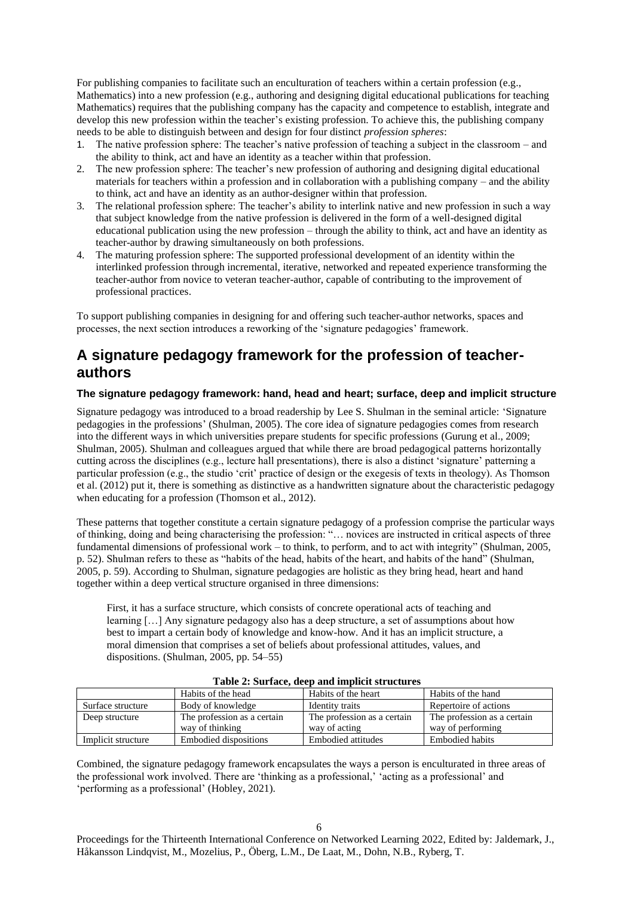For publishing companies to facilitate such an enculturation of teachers within a certain profession (e.g., Mathematics) into a new profession (e.g., authoring and designing digital educational publications for teaching Mathematics) requires that the publishing company has the capacity and competence to establish, integrate and develop this new profession within the teacher's existing profession. To achieve this, the publishing company needs to be able to distinguish between and design for four distinct *profession spheres*:

- 1. The native profession sphere: The teacher's native profession of teaching a subject in the classroom and the ability to think, act and have an identity as a teacher within that profession.
- 2. The new profession sphere: The teacher's new profession of authoring and designing digital educational materials for teachers within a profession and in collaboration with a publishing company – and the ability to think, act and have an identity as an author-designer within that profession.
- 3. The relational profession sphere: The teacher's ability to interlink native and new profession in such a way that subject knowledge from the native profession is delivered in the form of a well-designed digital educational publication using the new profession – through the ability to think, act and have an identity as teacher-author by drawing simultaneously on both professions.
- 4. The maturing profession sphere: The supported professional development of an identity within the interlinked profession through incremental, iterative, networked and repeated experience transforming the teacher-author from novice to veteran teacher-author, capable of contributing to the improvement of professional practices.

To support publishing companies in designing for and offering such teacher-author networks, spaces and processes, the next section introduces a reworking of the 'signature pedagogies' framework.

# **A signature pedagogy framework for the profession of teacherauthors**

## **The signature pedagogy framework: hand, head and heart; surface, deep and implicit structure**

Signature pedagogy was introduced to a broad readership by Lee S. Shulman in the seminal article: 'Signature pedagogies in the professions' (Shulman, 2005). The core idea of signature pedagogies comes from research into the different ways in which universities prepare students for specific professions (Gurung et al., 2009; Shulman, 2005). Shulman and colleagues argued that while there are broad pedagogical patterns horizontally cutting across the disciplines (e.g., lecture hall presentations), there is also a distinct 'signature' patterning a particular profession (e.g., the studio 'crit' practice of design or the exegesis of texts in theology). As Thomson et al. (2012) put it, there is something as distinctive as a handwritten signature about the characteristic pedagogy when educating for a profession (Thomson et al., 2012).

These patterns that together constitute a certain signature pedagogy of a profession comprise the particular ways of thinking, doing and being characterising the profession: "… novices are instructed in critical aspects of three fundamental dimensions of professional work – to think, to perform, and to act with integrity" (Shulman, 2005, p. 52). Shulman refers to these as "habits of the head, habits of the heart, and habits of the hand" (Shulman, 2005, p. 59). According to Shulman, signature pedagogies are holistic as they bring head, heart and hand together within a deep vertical structure organised in three dimensions:

First, it has a surface structure, which consists of concrete operational acts of teaching and learning […] Any signature pedagogy also has a deep structure, a set of assumptions about how best to impart a certain body of knowledge and know-how. And it has an implicit structure, a moral dimension that comprises a set of beliefs about professional attitudes, values, and dispositions. (Shulman, 2005, pp. 54–55)

|                    | Habits of the head          | Habits of the heart         | Habits of the hand          |
|--------------------|-----------------------------|-----------------------------|-----------------------------|
| Surface structure  | Body of knowledge           | Identity traits             | Repertoire of actions       |
| Deep structure     | The profession as a certain | The profession as a certain | The profession as a certain |
|                    | way of thinking             | way of acting               | way of performing           |
| Implicit structure | Embodied dispositions       | Embodied attitudes          | Embodied habits             |

#### **Table 2: Surface, deep and implicit structures**

Combined, the signature pedagogy framework encapsulates the ways a person is enculturated in three areas of the professional work involved. There are 'thinking as a professional,' 'acting as a professional' and 'performing as a professional' (Hobley, 2021).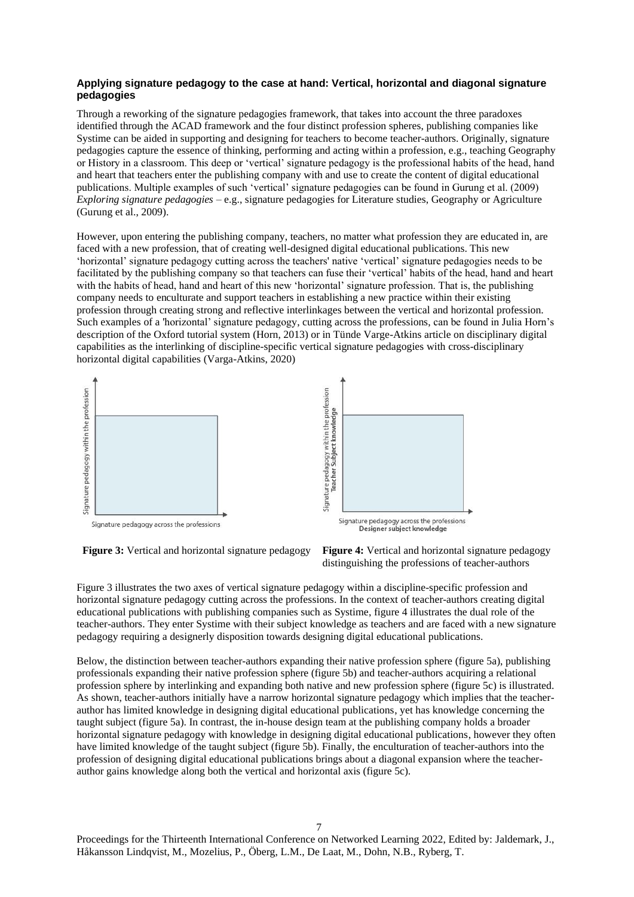#### **Applying signature pedagogy to the case at hand: Vertical, horizontal and diagonal signature pedagogies**

Through a reworking of the signature pedagogies framework, that takes into account the three paradoxes identified through the ACAD framework and the four distinct profession spheres, publishing companies like Systime can be aided in supporting and designing for teachers to become teacher-authors. Originally, signature pedagogies capture the essence of thinking, performing and acting within a profession, e.g., teaching Geography or History in a classroom. This deep or 'vertical' signature pedagogy is the professional habits of the head, hand and heart that teachers enter the publishing company with and use to create the content of digital educational publications. Multiple examples of such 'vertical' signature pedagogies can be found in Gurung et al. (2009) *Exploring signature pedagogies* – e.g., signature pedagogies for Literature studies, Geography or Agriculture (Gurung et al., 2009).

However, upon entering the publishing company, teachers, no matter what profession they are educated in, are faced with a new profession, that of creating well-designed digital educational publications. This new 'horizontal' signature pedagogy cutting across the teachers' native 'vertical' signature pedagogies needs to be facilitated by the publishing company so that teachers can fuse their 'vertical' habits of the head, hand and heart with the habits of head, hand and heart of this new 'horizontal' signature profession. That is, the publishing company needs to enculturate and support teachers in establishing a new practice within their existing profession through creating strong and reflective interlinkages between the vertical and horizontal profession. Such examples of a 'horizontal' signature pedagogy, cutting across the professions, can be found in Julia Horn's description of the Oxford tutorial system (Horn, 2013) or in Tünde Varge-Atkins article on disciplinary digital capabilities as the interlinking of discipline-specific vertical signature pedagogies with cross-disciplinary horizontal digital capabilities (Varga-Atkins, 2020)



**Figure 3:** Vertical and horizontal signature pedagogy **Figure 4:** Vertical and horizontal signature pedagogy distinguishing the professions of teacher-authors

Figure 3 illustrates the two axes of vertical signature pedagogy within a discipline-specific profession and horizontal signature pedagogy cutting across the professions. In the context of teacher-authors creating digital educational publications with publishing companies such as Systime, figure 4 illustrates the dual role of the teacher-authors. They enter Systime with their subject knowledge as teachers and are faced with a new signature pedagogy requiring a designerly disposition towards designing digital educational publications.

Below, the distinction between teacher-authors expanding their native profession sphere (figure 5a), publishing professionals expanding their native profession sphere (figure 5b) and teacher-authors acquiring a relational profession sphere by interlinking and expanding both native and new profession sphere (figure 5c) is illustrated. As shown, teacher-authors initially have a narrow horizontal signature pedagogy which implies that the teacherauthor has limited knowledge in designing digital educational publications, yet has knowledge concerning the taught subject (figure 5a). In contrast, the in-house design team at the publishing company holds a broader horizontal signature pedagogy with knowledge in designing digital educational publications, however they often have limited knowledge of the taught subject (figure 5b). Finally, the enculturation of teacher-authors into the profession of designing digital educational publications brings about a diagonal expansion where the teacherauthor gains knowledge along both the vertical and horizontal axis (figure 5c).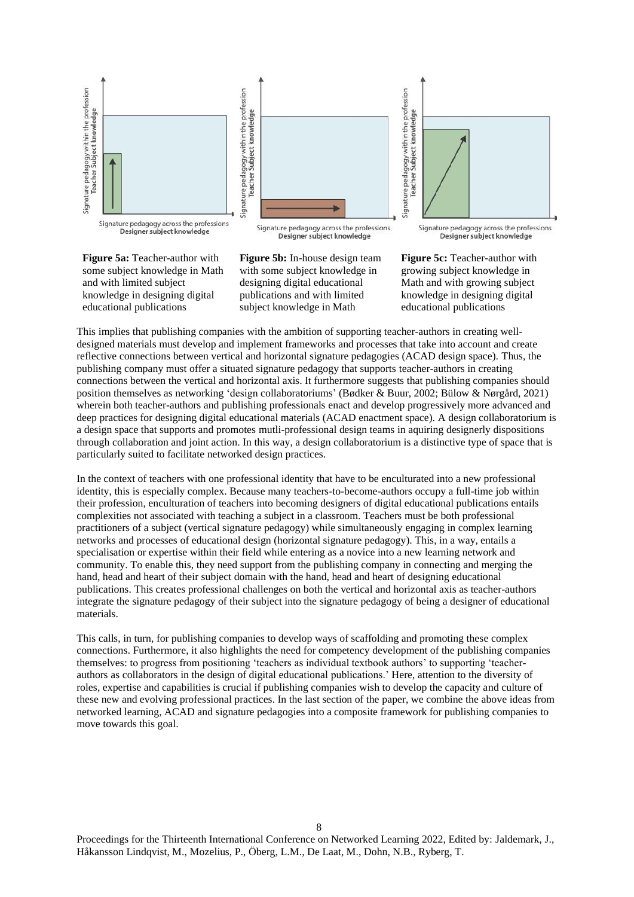

**Figure 5a:** Teacher-author with some subject knowledge in Math and with limited subject knowledge in designing digital educational publications

**Figure 5b:** In-house design team with some subject knowledge in designing digital educational publications and with limited subject knowledge in Math

**Figure 5c:** Teacher-author with growing subject knowledge in Math and with growing subject knowledge in designing digital educational publications

This implies that publishing companies with the ambition of supporting teacher-authors in creating welldesigned materials must develop and implement frameworks and processes that take into account and create reflective connections between vertical and horizontal signature pedagogies (ACAD design space). Thus, the publishing company must offer a situated signature pedagogy that supports teacher-authors in creating connections between the vertical and horizontal axis. It furthermore suggests that publishing companies should position themselves as networking 'design collaboratoriums' (Bødker & Buur, 2002; Bülow & Nørgård, 2021) wherein both teacher-authors and publishing professionals enact and develop progressively more advanced and deep practices for designing digital educational materials (ACAD enactment space). A design collaboratorium is a design space that supports and promotes mutli-professional design teams in aquiring designerly dispositions through collaboration and joint action. In this way, a design collaboratorium is a distinctive type of space that is particularly suited to facilitate networked design practices.

In the context of teachers with one professional identity that have to be enculturated into a new professional identity, this is especially complex. Because many teachers-to-become-authors occupy a full-time job within their profession, enculturation of teachers into becoming designers of digital educational publications entails complexities not associated with teaching a subject in a classroom. Teachers must be both professional practitioners of a subject (vertical signature pedagogy) while simultaneously engaging in complex learning networks and processes of educational design (horizontal signature pedagogy). This, in a way, entails a specialisation or expertise within their field while entering as a novice into a new learning network and community. To enable this, they need support from the publishing company in connecting and merging the hand, head and heart of their subject domain with the hand, head and heart of designing educational publications. This creates professional challenges on both the vertical and horizontal axis as teacher-authors integrate the signature pedagogy of their subject into the signature pedagogy of being a designer of educational materials.

This calls, in turn, for publishing companies to develop ways of scaffolding and promoting these complex connections. Furthermore, it also highlights the need for competency development of the publishing companies themselves: to progress from positioning 'teachers as individual textbook authors' to supporting 'teacherauthors as collaborators in the design of digital educational publications.' Here, attention to the diversity of roles, expertise and capabilities is crucial if publishing companies wish to develop the capacity and culture of these new and evolving professional practices. In the last section of the paper, we combine the above ideas from networked learning, ACAD and signature pedagogies into a composite framework for publishing companies to move towards this goal.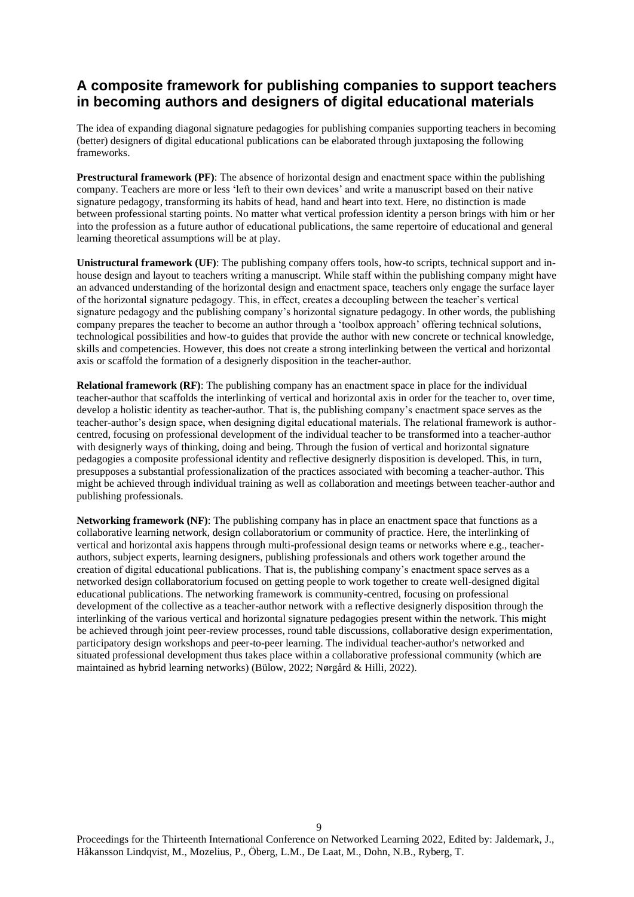# **A composite framework for publishing companies to support teachers in becoming authors and designers of digital educational materials**

The idea of expanding diagonal signature pedagogies for publishing companies supporting teachers in becoming (better) designers of digital educational publications can be elaborated through juxtaposing the following frameworks.

**Prestructural framework (PF)**: The absence of horizontal design and enactment space within the publishing company. Teachers are more or less 'left to their own devices' and write a manuscript based on their native signature pedagogy, transforming its habits of head, hand and heart into text. Here, no distinction is made between professional starting points. No matter what vertical profession identity a person brings with him or her into the profession as a future author of educational publications, the same repertoire of educational and general learning theoretical assumptions will be at play.

**Unistructural framework (UF)**: The publishing company offers tools, how-to scripts, technical support and inhouse design and layout to teachers writing a manuscript. While staff within the publishing company might have an advanced understanding of the horizontal design and enactment space, teachers only engage the surface layer of the horizontal signature pedagogy. This, in effect, creates a decoupling between the teacher's vertical signature pedagogy and the publishing company's horizontal signature pedagogy. In other words, the publishing company prepares the teacher to become an author through a 'toolbox approach' offering technical solutions, technological possibilities and how-to guides that provide the author with new concrete or technical knowledge, skills and competencies. However, this does not create a strong interlinking between the vertical and horizontal axis or scaffold the formation of a designerly disposition in the teacher-author.

**Relational framework (RF)**: The publishing company has an enactment space in place for the individual teacher-author that scaffolds the interlinking of vertical and horizontal axis in order for the teacher to, over time, develop a holistic identity as teacher-author. That is, the publishing company's enactment space serves as the teacher-author's design space, when designing digital educational materials. The relational framework is authorcentred, focusing on professional development of the individual teacher to be transformed into a teacher-author with designerly ways of thinking, doing and being. Through the fusion of vertical and horizontal signature pedagogies a composite professional identity and reflective designerly disposition is developed. This, in turn, presupposes a substantial professionalization of the practices associated with becoming a teacher-author. This might be achieved through individual training as well as collaboration and meetings between teacher-author and publishing professionals.

**Networking framework (NF)**: The publishing company has in place an enactment space that functions as a collaborative learning network, design collaboratorium or community of practice. Here, the interlinking of vertical and horizontal axis happens through multi-professional design teams or networks where e.g., teacherauthors, subject experts, learning designers, publishing professionals and others work together around the creation of digital educational publications. That is, the publishing company's enactment space serves as a networked design collaboratorium focused on getting people to work together to create well-designed digital educational publications. The networking framework is community-centred, focusing on professional development of the collective as a teacher-author network with a reflective designerly disposition through the interlinking of the various vertical and horizontal signature pedagogies present within the network. This might be achieved through joint peer-review processes, round table discussions, collaborative design experimentation, participatory design workshops and peer-to-peer learning. The individual teacher-author's networked and situated professional development thus takes place within a collaborative professional community (which are maintained as hybrid learning networks) (Bülow, 2022; Nørgård & Hilli, 2022).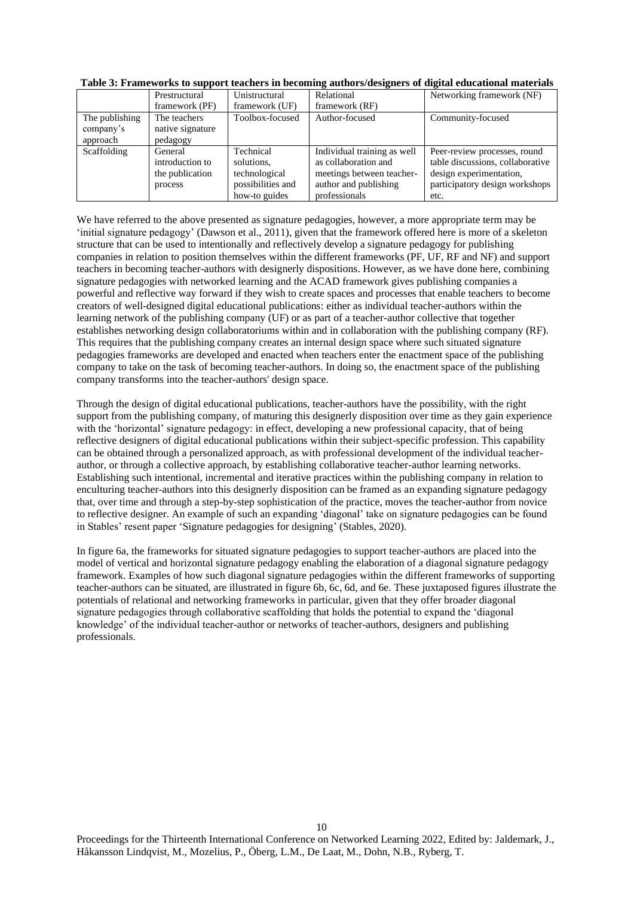|                | Prestructural    | Unistructural     | Relational                  | Networking framework (NF)        |
|----------------|------------------|-------------------|-----------------------------|----------------------------------|
|                | framework (PF)   | framework (UF)    | framework (RF)              |                                  |
| The publishing | The teachers     | Toolbox-focused   | Author-focused              | Community-focused                |
| company's      | native signature |                   |                             |                                  |
| approach       | pedagogy         |                   |                             |                                  |
| Scaffolding    | General          | Technical         | Individual training as well | Peer-review processes, round     |
|                | introduction to  | solutions,        | as collaboration and        | table discussions, collaborative |
|                | the publication  | technological     | meetings between teacher-   | design experimentation,          |
|                | process          | possibilities and | author and publishing       | participatory design workshops   |
|                |                  | how-to guides     | professionals               | etc.                             |

**Table 3: Frameworks to support teachers in becoming authors/designers of digital educational materials**

We have referred to the above presented as signature pedagogies, however, a more appropriate term may be 'initial signature pedagogy' (Dawson et al., 2011), given that the framework offered here is more of a skeleton structure that can be used to intentionally and reflectively develop a signature pedagogy for publishing companies in relation to position themselves within the different frameworks (PF, UF, RF and NF) and support teachers in becoming teacher-authors with designerly dispositions. However, as we have done here, combining signature pedagogies with networked learning and the ACAD framework gives publishing companies a powerful and reflective way forward if they wish to create spaces and processes that enable teachers to become creators of well-designed digital educational publications: either as individual teacher-authors within the learning network of the publishing company (UF) or as part of a teacher-author collective that together establishes networking design collaboratoriums within and in collaboration with the publishing company (RF). This requires that the publishing company creates an internal design space where such situated signature pedagogies frameworks are developed and enacted when teachers enter the enactment space of the publishing company to take on the task of becoming teacher-authors. In doing so, the enactment space of the publishing company transforms into the teacher-authors' design space.

Through the design of digital educational publications, teacher-authors have the possibility, with the right support from the publishing company, of maturing this designerly disposition over time as they gain experience with the 'horizontal' signature pedagogy: in effect, developing a new professional capacity, that of being reflective designers of digital educational publications within their subject-specific profession. This capability can be obtained through a personalized approach, as with professional development of the individual teacherauthor, or through a collective approach, by establishing collaborative teacher-author learning networks. Establishing such intentional, incremental and iterative practices within the publishing company in relation to enculturing teacher-authors into this designerly disposition can be framed as an expanding signature pedagogy that, over time and through a step-by-step sophistication of the practice, moves the teacher-author from novice to reflective designer. An example of such an expanding 'diagonal' take on signature pedagogies can be found in Stables' resent paper 'Signature pedagogies for designing' (Stables, 2020).

In figure 6a, the frameworks for situated signature pedagogies to support teacher-authors are placed into the model of vertical and horizontal signature pedagogy enabling the elaboration of a diagonal signature pedagogy framework. Examples of how such diagonal signature pedagogies within the different frameworks of supporting teacher-authors can be situated, are illustrated in figure 6b, 6c, 6d, and 6e. These juxtaposed figures illustrate the potentials of relational and networking frameworks in particular, given that they offer broader diagonal signature pedagogies through collaborative scaffolding that holds the potential to expand the 'diagonal knowledge' of the individual teacher-author or networks of teacher-authors, designers and publishing professionals.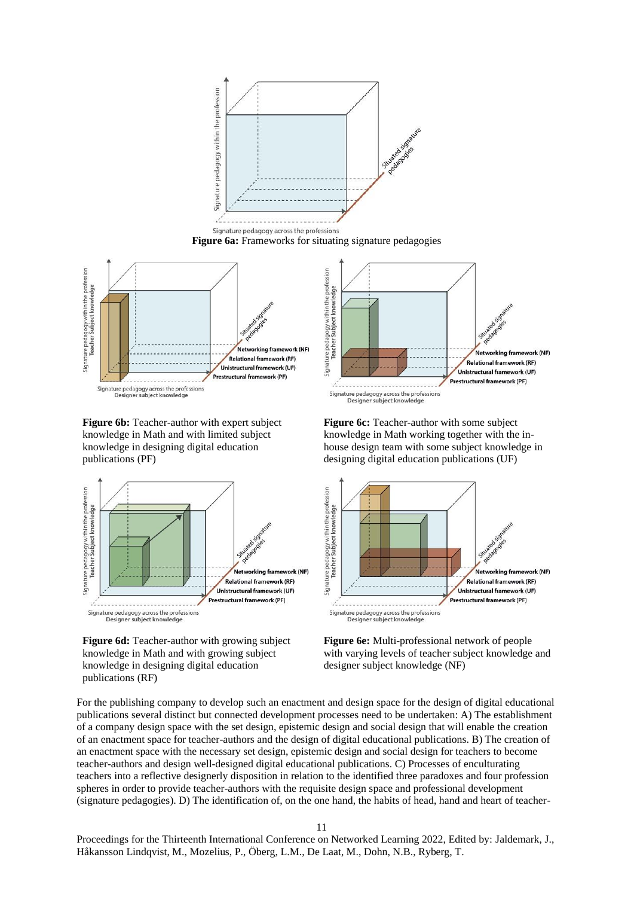

**Figure 6b:** Teacher-author with expert subject knowledge in Math and with limited subject knowledge in designing digital education publications (PF)



**Figure 6d:** Teacher-author with growing subject knowledge in Math and with growing subject knowledge in designing digital education publications (RF)

**Figure 6c:** Teacher-author with some subject knowledge in Math working together with the inhouse design team with some subject knowledge in designing digital education publications (UF)



**Figure 6e:** Multi-professional network of people with varying levels of teacher subject knowledge and designer subject knowledge (NF)

For the publishing company to develop such an enactment and design space for the design of digital educational publications several distinct but connected development processes need to be undertaken: A) The establishment of a company design space with the set design, epistemic design and social design that will enable the creation of an enactment space for teacher-authors and the design of digital educational publications. B) The creation of an enactment space with the necessary set design, epistemic design and social design for teachers to become teacher-authors and design well-designed digital educational publications. C) Processes of enculturating teachers into a reflective designerly disposition in relation to the identified three paradoxes and four profession spheres in order to provide teacher-authors with the requisite design space and professional development (signature pedagogies). D) The identification of, on the one hand, the habits of head, hand and heart of teacher-

11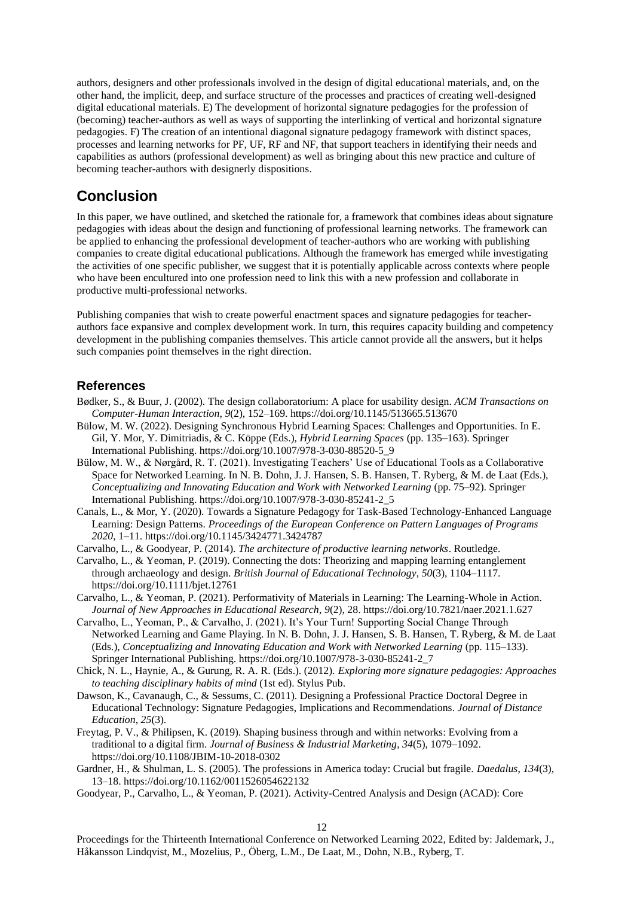authors, designers and other professionals involved in the design of digital educational materials, and, on the other hand, the implicit, deep, and surface structure of the processes and practices of creating well-designed digital educational materials. E) The development of horizontal signature pedagogies for the profession of (becoming) teacher-authors as well as ways of supporting the interlinking of vertical and horizontal signature pedagogies. F) The creation of an intentional diagonal signature pedagogy framework with distinct spaces, processes and learning networks for PF, UF, RF and NF, that support teachers in identifying their needs and capabilities as authors (professional development) as well as bringing about this new practice and culture of becoming teacher-authors with designerly dispositions.

# **Conclusion**

In this paper, we have outlined, and sketched the rationale for, a framework that combines ideas about signature pedagogies with ideas about the design and functioning of professional learning networks. The framework can be applied to enhancing the professional development of teacher-authors who are working with publishing companies to create digital educational publications. Although the framework has emerged while investigating the activities of one specific publisher, we suggest that it is potentially applicable across contexts where people who have been encultured into one profession need to link this with a new profession and collaborate in productive multi-professional networks.

Publishing companies that wish to create powerful enactment spaces and signature pedagogies for teacherauthors face expansive and complex development work. In turn, this requires capacity building and competency development in the publishing companies themselves. This article cannot provide all the answers, but it helps such companies point themselves in the right direction.

## **References**

- Bødker, S., & Buur, J. (2002). The design collaboratorium: A place for usability design. *ACM Transactions on Computer-Human Interaction*, *9*(2), 152–169. https://doi.org/10.1145/513665.513670
- Bülow, M. W. (2022). Designing Synchronous Hybrid Learning Spaces: Challenges and Opportunities. In E. Gil, Y. Mor, Y. Dimitriadis, & C. Köppe (Eds.), *Hybrid Learning Spaces* (pp. 135–163). Springer International Publishing. https://doi.org/10.1007/978-3-030-88520-5\_9
- Bülow, M. W., & Nørgård, R. T. (2021). Investigating Teachers' Use of Educational Tools as a Collaborative Space for Networked Learning. In N. B. Dohn, J. J. Hansen, S. B. Hansen, T. Ryberg, & M. de Laat (Eds.), *Conceptualizing and Innovating Education and Work with Networked Learning* (pp. 75–92). Springer International Publishing. https://doi.org/10.1007/978-3-030-85241-2\_5
- Canals, L., & Mor, Y. (2020). Towards a Signature Pedagogy for Task-Based Technology-Enhanced Language Learning: Design Patterns. *Proceedings of the European Conference on Pattern Languages of Programs 2020*, 1–11. https://doi.org/10.1145/3424771.3424787

Carvalho, L., & Goodyear, P. (2014). *The architecture of productive learning networks*. Routledge.

- Carvalho, L., & Yeoman, P. (2019). Connecting the dots: Theorizing and mapping learning entanglement through archaeology and design. *British Journal of Educational Technology*, *50*(3), 1104–1117. https://doi.org/10.1111/bjet.12761
- Carvalho, L., & Yeoman, P. (2021). Performativity of Materials in Learning: The Learning-Whole in Action. *Journal of New Approaches in Educational Research*, *9*(2), 28. https://doi.org/10.7821/naer.2021.1.627
- Carvalho, L., Yeoman, P., & Carvalho, J. (2021). It's Your Turn! Supporting Social Change Through Networked Learning and Game Playing. In N. B. Dohn, J. J. Hansen, S. B. Hansen, T. Ryberg, & M. de Laat (Eds.), *Conceptualizing and Innovating Education and Work with Networked Learning* (pp. 115–133). Springer International Publishing. https://doi.org/10.1007/978-3-030-85241-2\_7

Chick, N. L., Haynie, A., & Gurung, R. A. R. (Eds.). (2012). *Exploring more signature pedagogies: Approaches to teaching disciplinary habits of mind* (1st ed). Stylus Pub.

- Dawson, K., Cavanaugh, C., & Sessums, C. (2011). Designing a Professional Practice Doctoral Degree in Educational Technology: Signature Pedagogies, Implications and Recommendations. *Journal of Distance Education*, *25*(3).
- Freytag, P. V., & Philipsen, K. (2019). Shaping business through and within networks: Evolving from a traditional to a digital firm. *Journal of Business & Industrial Marketing*, *34*(5), 1079–1092. https://doi.org/10.1108/JBIM-10-2018-0302
- Gardner, H., & Shulman, L. S. (2005). The professions in America today: Crucial but fragile. *Daedalus*, *134*(3), 13–18. https://doi.org/10.1162/0011526054622132
- Goodyear, P., Carvalho, L., & Yeoman, P. (2021). Activity-Centred Analysis and Design (ACAD): Core